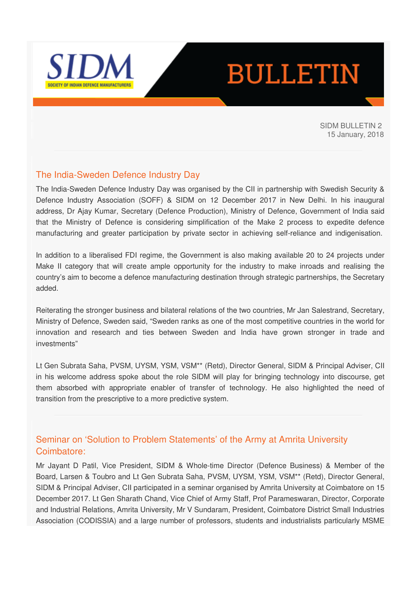

# **BULLETIN**

SIDM BULLETIN 2 15 January, 2018

# The India-Sweden Defence Industry Day

The India-Sweden Defence Industry Day was organised by the CII in partnership with Swedish Security & Defence Industry Association (SOFF) & SIDM on 12 December 2017 in New Delhi. In his inaugural address, Dr Ajay Kumar, Secretary (Defence Production), Ministry of Defence, Government of India said that the Ministry of Defence is considering simplification of the Make 2 process to expedite defence manufacturing and greater participation by private sector in achieving self-reliance and indigenisation.

In addition to a liberalised FDI regime, the Government is also making available 20 to 24 projects under Make II category that will create ample opportunity for the industry to make inroads and realising the country's aim to become a defence manufacturing destination through strategic partnerships, the Secretary added.

Reiterating the stronger business and bilateral relations of the two countries, Mr Jan Salestrand, Secretary, Ministry of Defence, Sweden said, "Sweden ranks as one of the most competitive countries in the world for innovation and research and ties between Sweden and India have grown stronger in trade and investments"

Lt Gen Subrata Saha, PVSM, UYSM, YSM, VSM\*\* (Retd), Director General, SIDM & Principal Adviser, CII in his welcome address spoke about the role SIDM will play for bringing technology into discourse, get them absorbed with appropriate enabler of transfer of technology. He also highlighted the need of transition from the prescriptive to a more predictive system.

# Seminar on 'Solution to Problem Statements' of the Army at Amrita University Coimbatore:

Mr Jayant D Patil, Vice President, SIDM & Whole-time Director (Defence Business) & Member of the Board, Larsen & Toubro and Lt Gen Subrata Saha, PVSM, UYSM, YSM, VSM\*\* (Retd), Director General, SIDM & Principal Adviser, CII participated in a seminar organised by Amrita University at Coimbatore on 15 December 2017. Lt Gen Sharath Chand, Vice Chief of Army Staff, Prof Parameswaran, Director, Corporate and Industrial Relations, Amrita University, Mr V Sundaram, President, Coimbatore District Small Industries Association (CODISSIA) and a large number of professors, students and industrialists particularly MSME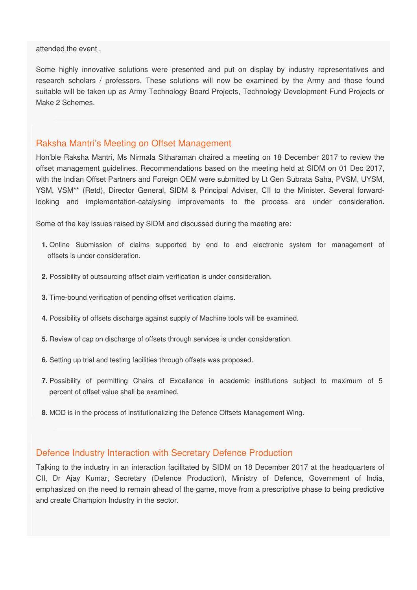attended the event .

Some highly innovative solutions were presented and put on display by industry representatives and research scholars / professors. These solutions will now be examined by the Army and those found suitable will be taken up as Army Technology Board Projects, Technology Development Fund Projects or Make 2 Schemes.

# Raksha Mantri's Meeting on Offset Management

Hon'ble Raksha Mantri, Ms Nirmala Sitharaman chaired a meeting on 18 December 2017 to review the offset management guidelines. Recommendations based on the meeting held at SIDM on 01 Dec 2017, with the Indian Offset Partners and Foreign OEM were submitted by Lt Gen Subrata Saha, PVSM, UYSM, YSM, VSM\*\* (Retd), Director General, SIDM & Principal Adviser, CII to the Minister. Several forwardlooking and implementation-catalysing improvements to the process are under consideration.

Some of the key issues raised by SIDM and discussed during the meeting are:

- **1.** Online Submission of claims supported by end to end electronic system for management of offsets is under consideration.
- **2.** Possibility of outsourcing offset claim verification is under consideration.
- **3.** Time-bound verification of pending offset verification claims.
- **4.** Possibility of offsets discharge against supply of Machine tools will be examined.
- **5.** Review of cap on discharge of offsets through services is under consideration.
- **6.** Setting up trial and testing facilities through offsets was proposed.
- **7.** Possibility of permitting Chairs of Excellence in academic institutions subject to maximum of 5 percent of offset value shall be examined.
- **8.** MOD is in the process of institutionalizing the Defence Offsets Management Wing.

#### Defence Industry Interaction with Secretary Defence Production

Talking to the industry in an interaction facilitated by SIDM on 18 December 2017 at the headquarters of CII, Dr Ajay Kumar, Secretary (Defence Production), Ministry of Defence, Government of India, emphasized on the need to remain ahead of the game, move from a prescriptive phase to being predictive and create Champion Industry in the sector.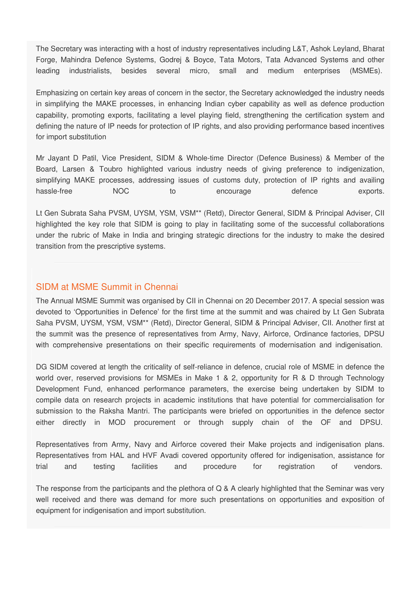The Secretary was interacting with a host of industry representatives including L&T, Ashok Leyland, Bharat Forge, Mahindra Defence Systems, Godrej & Boyce, Tata Motors, Tata Advanced Systems and other leading industrialists, besides several micro, small and medium enterprises (MSMEs).

Emphasizing on certain key areas of concern in the sector, the Secretary acknowledged the industry needs in simplifying the MAKE processes, in enhancing Indian cyber capability as well as defence production capability, promoting exports, facilitating a level playing field, strengthening the certification system and defining the nature of IP needs for protection of IP rights, and also providing performance based incentives for import substitution

Mr Jayant D Patil, Vice President, SIDM & Whole-time Director (Defence Business) & Member of the Board, Larsen & Toubro highlighted various industry needs of giving preference to indigenization, simplifying MAKE processes, addressing issues of customs duty, protection of IP rights and availing hassle-free MOC to encourage defence exports.

Lt Gen Subrata Saha PVSM, UYSM, YSM, VSM\*\* (Retd), Director General, SIDM & Principal Adviser, CII highlighted the key role that SIDM is going to play in facilitating some of the successful collaborations under the rubric of Make in India and bringing strategic directions for the industry to make the desired transition from the prescriptive systems.

# SIDM at MSME Summit in Chennai

The Annual MSME Summit was organised by CII in Chennai on 20 December 2017. A special session was devoted to 'Opportunities in Defence' for the first time at the summit and was chaired by Lt Gen Subrata Saha PVSM, UYSM, YSM, VSM\*\* (Retd), Director General, SIDM & Principal Adviser, CII. Another first at the summit was the presence of representatives from Army, Navy, Airforce, Ordinance factories, DPSU with comprehensive presentations on their specific requirements of modernisation and indigenisation.

DG SIDM covered at length the criticality of self-reliance in defence, crucial role of MSME in defence the world over, reserved provisions for MSMEs in Make 1 & 2, opportunity for R & D through Technology Development Fund, enhanced performance parameters, the exercise being undertaken by SIDM to compile data on research projects in academic institutions that have potential for commercialisation for submission to the Raksha Mantri. The participants were briefed on opportunities in the defence sector either directly in MOD procurement or through supply chain of the OF and DPSU.

Representatives from Army, Navy and Airforce covered their Make projects and indigenisation plans. Representatives from HAL and HVF Avadi covered opportunity offered for indigenisation, assistance for trial and testing facilities and procedure for registration of vendors.

The response from the participants and the plethora of Q & A clearly highlighted that the Seminar was very well received and there was demand for more such presentations on opportunities and exposition of equipment for indigenisation and import substitution.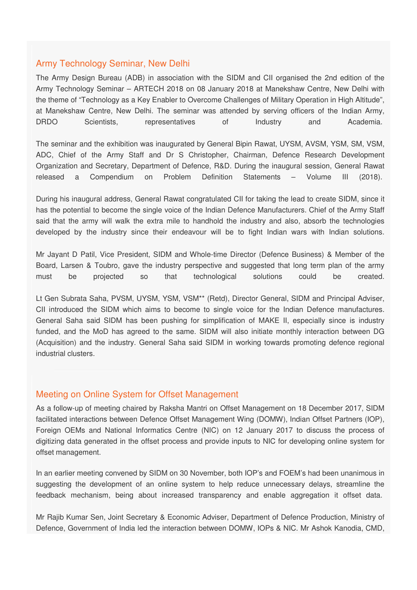# Army Technology Seminar, New Delhi

The Army Design Bureau (ADB) in association with the SIDM and CII organised the 2nd edition of the Army Technology Seminar – ARTECH 2018 on 08 January 2018 at Manekshaw Centre, New Delhi with the theme of "Technology as a Key Enabler to Overcome Challenges of Military Operation in High Altitude", at Manekshaw Centre, New Delhi. The seminar was attended by serving officers of the Indian Army, DRDO Scientists, representatives of Industry and Academia.

The seminar and the exhibition was inaugurated by General Bipin Rawat, UYSM, AVSM, YSM, SM, VSM, ADC, Chief of the Army Staff and Dr S Christopher, Chairman, Defence Research Development Organization and Secretary, Department of Defence, R&D. During the inaugural session, General Rawat released a Compendium on Problem Definition Statements – Volume III (2018).

During his inaugural address, General Rawat congratulated CII for taking the lead to create SIDM, since it has the potential to become the single voice of the Indian Defence Manufacturers. Chief of the Army Staff said that the army will walk the extra mile to handhold the industry and also, absorb the technologies developed by the industry since their endeavour will be to fight Indian wars with Indian solutions.

Mr Jayant D Patil, Vice President, SIDM and Whole-time Director (Defence Business) & Member of the Board, Larsen & Toubro, gave the industry perspective and suggested that long term plan of the army must be projected so that technological solutions could be created.

Lt Gen Subrata Saha, PVSM, UYSM, YSM, VSM\*\* (Retd), Director General, SIDM and Principal Adviser, CII introduced the SIDM which aims to become to single voice for the Indian Defence manufactures. General Saha said SIDM has been pushing for simplification of MAKE II, especially since is industry funded, and the MoD has agreed to the same. SIDM will also initiate monthly interaction between DG (Acquisition) and the industry. General Saha said SIDM in working towards promoting defence regional industrial clusters.

#### Meeting on Online System for Offset Management

As a follow-up of meeting chaired by Raksha Mantri on Offset Management on 18 December 2017, SIDM facilitated interactions between Defence Offset Management Wing (DOMW), Indian Offset Partners (IOP), Foreign OEMs and National Informatics Centre (NIC) on 12 January 2017 to discuss the process of digitizing data generated in the offset process and provide inputs to NIC for developing online system for offset management.

In an earlier meeting convened by SIDM on 30 November, both IOP's and FOEM's had been unanimous in suggesting the development of an online system to help reduce unnecessary delays, streamline the feedback mechanism, being about increased transparency and enable aggregation it offset data.

Mr Rajib Kumar Sen, Joint Secretary & Economic Adviser, Department of Defence Production, Ministry of Defence, Government of India led the interaction between DOMW, IOPs & NIC. Mr Ashok Kanodia, CMD,